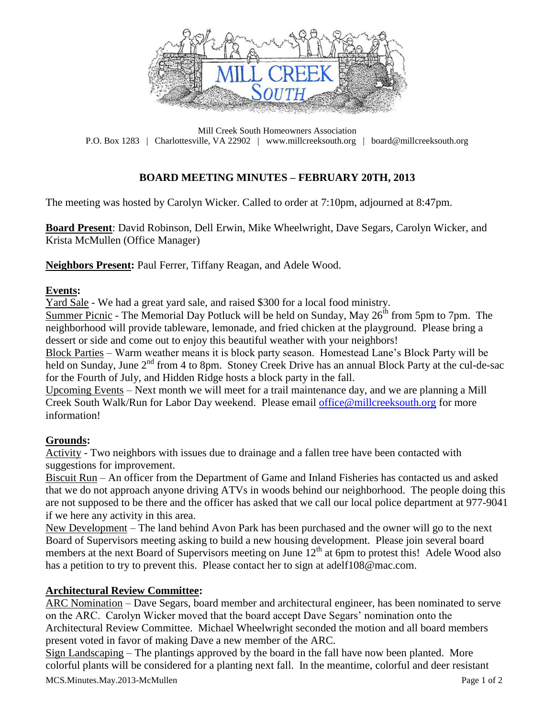

Mill Creek South Homeowners Association P.O. Box 1283 | Charlottesville, VA 22902 | www.millcreeksouth.org | board@millcreeksouth.org

# **BOARD MEETING MINUTES – FEBRUARY 20TH, 2013**

The meeting was hosted by Carolyn Wicker. Called to order at 7:10pm, adjourned at 8:47pm.

**Board Present**: David Robinson, Dell Erwin, Mike Wheelwright, Dave Segars, Carolyn Wicker, and Krista McMullen (Office Manager)

**Neighbors Present:** Paul Ferrer, Tiffany Reagan, and Adele Wood.

### **Events:**

Yard Sale - We had a great yard sale, and raised \$300 for a local food ministry.

Summer Picnic - The Memorial Day Potluck will be held on Sunday, May  $26<sup>th</sup>$  from 5pm to 7pm. The neighborhood will provide tableware, lemonade, and fried chicken at the playground. Please bring a dessert or side and come out to enjoy this beautiful weather with your neighbors!

Block Parties – Warm weather means it is block party season. Homestead Lane's Block Party will be held on Sunday, June 2<sup>nd</sup> from 4 to 8pm. Stoney Creek Drive has an annual Block Party at the cul-de-sac for the Fourth of July, and Hidden Ridge hosts a block party in the fall.

Upcoming Events – Next month we will meet for a trail maintenance day, and we are planning a Mill Creek South Walk/Run for Labor Day weekend. Please email [office@millcreeksouth.org](mailto:office@millcreeksouth.org) for more information!

### **Grounds:**

Activity - Two neighbors with issues due to drainage and a fallen tree have been contacted with suggestions for improvement.

Biscuit Run – An officer from the Department of Game and Inland Fisheries has contacted us and asked that we do not approach anyone driving ATVs in woods behind our neighborhood. The people doing this are not supposed to be there and the officer has asked that we call our local police department at 977-9041 if we here any activity in this area.

New Development – The land behind Avon Park has been purchased and the owner will go to the next Board of Supervisors meeting asking to build a new housing development. Please join several board members at the next Board of Supervisors meeting on June  $12<sup>th</sup>$  at 6pm to protest this! Adele Wood also has a petition to try to prevent this. Please contact her to sign at adelf108@mac.com.

### **Architectural Review Committee:**

ARC Nomination – Dave Segars, board member and architectural engineer, has been nominated to serve on the ARC. Carolyn Wicker moved that the board accept Dave Segars' nomination onto the Architectural Review Committee. Michael Wheelwright seconded the motion and all board members present voted in favor of making Dave a new member of the ARC.

Sign Landscaping – The plantings approved by the board in the fall have now been planted. More colorful plants will be considered for a planting next fall. In the meantime, colorful and deer resistant